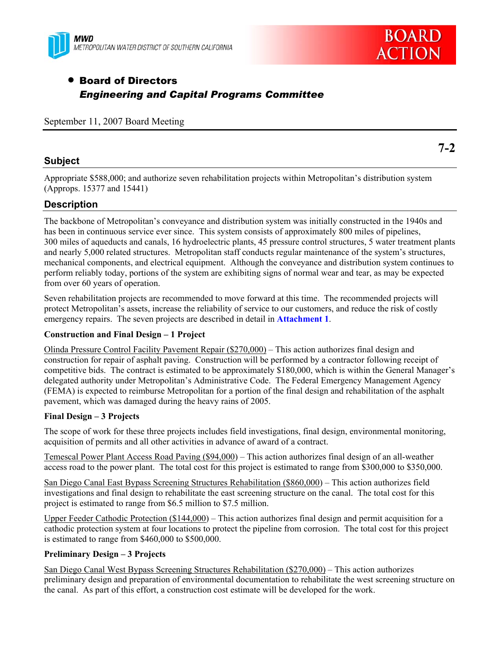



# • Board of Directors *Engineering and Capital Programs Committee*

September 11, 2007 Board Meeting

## **Subject**

Appropriate \$588,000; and authorize seven rehabilitation projects within Metropolitan's distribution system (Approps. 15377 and 15441)

# **Description**

The backbone of Metropolitan's conveyance and distribution system was initially constructed in the 1940s and has been in continuous service ever since. This system consists of approximately 800 miles of pipelines, 300 miles of aqueducts and canals, 16 hydroelectric plants, 45 pressure control structures, 5 water treatment plants and nearly 5,000 related structures. Metropolitan staff conducts regular maintenance of the system's structures, mechanical components, and electrical equipment. Although the conveyance and distribution system continues to perform reliably today, portions of the system are exhibiting signs of normal wear and tear, as may be expected from over 60 years of operation.

Seven rehabilitation projects are recommended to move forward at this time. The recommended projects will protect Metropolitan's assets, increase the reliability of service to our customers, and reduce the risk of costly emergency repairs. The seven projects are described in detail in **Attachment 1**.

## **Construction and Final Design – 1 Project**

Olinda Pressure Control Facility Pavement Repair (\$270,000) – This action authorizes final design and construction for repair of asphalt paving. Construction will be performed by a contractor following receipt of competitive bids. The contract is estimated to be approximately \$180,000, which is within the General Manager's delegated authority under Metropolitan's Administrative Code. The Federal Emergency Management Agency (FEMA) is expected to reimburse Metropolitan for a portion of the final design and rehabilitation of the asphalt pavement, which was damaged during the heavy rains of 2005.

## **Final Design – 3 Projects**

The scope of work for these three projects includes field investigations, final design, environmental monitoring, acquisition of permits and all other activities in advance of award of a contract.

Temescal Power Plant Access Road Paving (\$94,000) – This action authorizes final design of an all-weather access road to the power plant. The total cost for this project is estimated to range from \$300,000 to \$350,000.

San Diego Canal East Bypass Screening Structures Rehabilitation (\$860,000) – This action authorizes field investigations and final design to rehabilitate the east screening structure on the canal. The total cost for this project is estimated to range from \$6.5 million to \$7.5 million.

Upper Feeder Cathodic Protection (\$144,000) – This action authorizes final design and permit acquisition for a cathodic protection system at four locations to protect the pipeline from corrosion. The total cost for this project is estimated to range from \$460,000 to \$500,000.

## **Preliminary Design – 3 Projects**

San Diego Canal West Bypass Screening Structures Rehabilitation (\$270,000) – This action authorizes preliminary design and preparation of environmental documentation to rehabilitate the west screening structure on the canal. As part of this effort, a construction cost estimate will be developed for the work.

**7-2**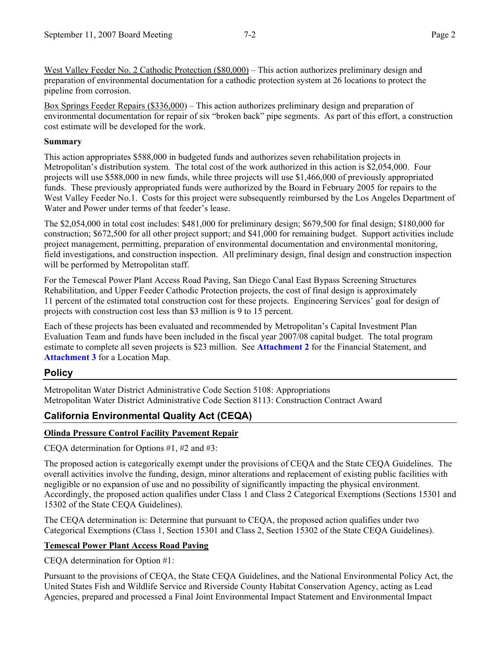West Valley Feeder No. 2 Cathodic Protection (\$80,000) – This action authorizes preliminary design and preparation of environmental documentation for a cathodic protection system at 26 locations to protect the pipeline from corrosion.

Box Springs Feeder Repairs (\$336,000) – This action authorizes preliminary design and preparation of environmental documentation for repair of six "broken back" pipe segments. As part of this effort, a construction cost estimate will be developed for the work.

### **Summary**

This action appropriates \$588,000 in budgeted funds and authorizes seven rehabilitation projects in Metropolitan's distribution system. The total cost of the work authorized in this action is \$2,054,000. Four projects will use \$588,000 in new funds, while three projects will use \$1,466,000 of previously appropriated funds. These previously appropriated funds were authorized by the Board in February 2005 for repairs to the West Valley Feeder No.1. Costs for this project were subsequently reimbursed by the Los Angeles Department of Water and Power under terms of that feeder's lease.

The \$2,054,000 in total cost includes: \$481,000 for preliminary design; \$679,500 for final design; \$180,000 for construction; \$672,500 for all other project support; and \$41,000 for remaining budget. Support activities include project management, permitting, preparation of environmental documentation and environmental monitoring, field investigations, and construction inspection. All preliminary design, final design and construction inspection will be performed by Metropolitan staff.

For the Temescal Power Plant Access Road Paving, San Diego Canal East Bypass Screening Structures Rehabilitation, and Upper Feeder Cathodic Protection projects, the cost of final design is approximately 11 percent of the estimated total construction cost for these projects. Engineering Services' goal for design of projects with construction cost less than \$3 million is 9 to 15 percent.

Each of these projects has been evaluated and recommended by Metropolitan's Capital Investment Plan Evaluation Team and funds have been included in the fiscal year 2007/08 capital budget. The total program estimate to complete all seven projects is \$23 million. See **Attachment 2** for the Financial Statement, and **Attachment 3** for a Location Map.

## **Policy**

Metropolitan Water District Administrative Code Section 5108: Appropriations Metropolitan Water District Administrative Code Section 8113: Construction Contract Award

# **California Environmental Quality Act (CEQA)**

## **Olinda Pressure Control Facility Pavement Repair**

CEQA determination for Options #1, #2 and #3:

The proposed action is categorically exempt under the provisions of CEQA and the State CEQA Guidelines. The overall activities involve the funding, design, minor alterations and replacement of existing public facilities with negligible or no expansion of use and no possibility of significantly impacting the physical environment. Accordingly, the proposed action qualifies under Class 1 and Class 2 Categorical Exemptions (Sections 15301 and 15302 of the State CEQA Guidelines).

The CEQA determination is: Determine that pursuant to CEQA, the proposed action qualifies under two Categorical Exemptions (Class 1, Section 15301 and Class 2, Section 15302 of the State CEQA Guidelines).

## **Temescal Power Plant Access Road Paving**

CEQA determination for Option #1:

Pursuant to the provisions of CEQA, the State CEQA Guidelines, and the National Environmental Policy Act, the United States Fish and Wildlife Service and Riverside County Habitat Conservation Agency, acting as Lead Agencies, prepared and processed a Final Joint Environmental Impact Statement and Environmental Impact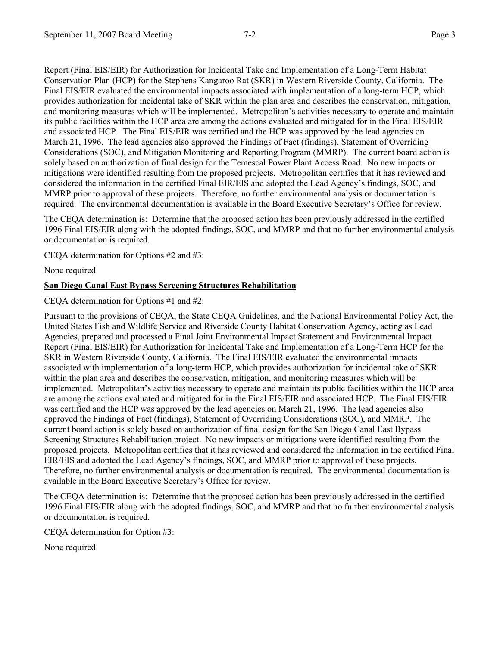Report (Final EIS/EIR) for Authorization for Incidental Take and Implementation of a Long-Term Habitat Conservation Plan (HCP) for the Stephens Kangaroo Rat (SKR) in Western Riverside County, California. The Final EIS/EIR evaluated the environmental impacts associated with implementation of a long-term HCP, which provides authorization for incidental take of SKR within the plan area and describes the conservation, mitigation, and monitoring measures which will be implemented. Metropolitan's activities necessary to operate and maintain its public facilities within the HCP area are among the actions evaluated and mitigated for in the Final EIS/EIR and associated HCP. The Final EIS/EIR was certified and the HCP was approved by the lead agencies on March 21, 1996. The lead agencies also approved the Findings of Fact (findings), Statement of Overriding Considerations (SOC), and Mitigation Monitoring and Reporting Program (MMRP). The current board action is solely based on authorization of final design for the Temescal Power Plant Access Road. No new impacts or mitigations were identified resulting from the proposed projects. Metropolitan certifies that it has reviewed and considered the information in the certified Final EIR/EIS and adopted the Lead Agency's findings, SOC, and MMRP prior to approval of these projects. Therefore, no further environmental analysis or documentation is required. The environmental documentation is available in the Board Executive Secretary's Office for review.

The CEQA determination is: Determine that the proposed action has been previously addressed in the certified 1996 Final EIS/EIR along with the adopted findings, SOC, and MMRP and that no further environmental analysis or documentation is required.

CEQA determination for Options #2 and #3:

None required

## **San Diego Canal East Bypass Screening Structures Rehabilitation**

CEQA determination for Options #1 and #2:

Pursuant to the provisions of CEQA, the State CEQA Guidelines, and the National Environmental Policy Act, the United States Fish and Wildlife Service and Riverside County Habitat Conservation Agency, acting as Lead Agencies, prepared and processed a Final Joint Environmental Impact Statement and Environmental Impact Report (Final EIS/EIR) for Authorization for Incidental Take and Implementation of a Long-Term HCP for the SKR in Western Riverside County, California. The Final EIS/EIR evaluated the environmental impacts associated with implementation of a long-term HCP, which provides authorization for incidental take of SKR within the plan area and describes the conservation, mitigation, and monitoring measures which will be implemented. Metropolitan's activities necessary to operate and maintain its public facilities within the HCP area are among the actions evaluated and mitigated for in the Final EIS/EIR and associated HCP. The Final EIS/EIR was certified and the HCP was approved by the lead agencies on March 21, 1996. The lead agencies also approved the Findings of Fact (findings), Statement of Overriding Considerations (SOC), and MMRP. The current board action is solely based on authorization of final design for the San Diego Canal East Bypass Screening Structures Rehabilitation project. No new impacts or mitigations were identified resulting from the proposed projects. Metropolitan certifies that it has reviewed and considered the information in the certified Final EIR/EIS and adopted the Lead Agency's findings, SOC, and MMRP prior to approval of these projects. Therefore, no further environmental analysis or documentation is required. The environmental documentation is available in the Board Executive Secretary's Office for review.

The CEQA determination is: Determine that the proposed action has been previously addressed in the certified 1996 Final EIS/EIR along with the adopted findings, SOC, and MMRP and that no further environmental analysis or documentation is required.

CEQA determination for Option #3:

None required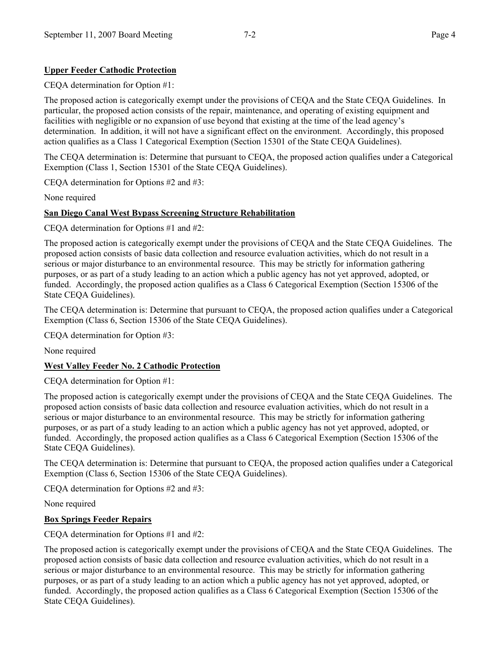## **Upper Feeder Cathodic Protection**

CEQA determination for Option #1:

The proposed action is categorically exempt under the provisions of CEQA and the State CEQA Guidelines. In particular, the proposed action consists of the repair, maintenance, and operating of existing equipment and facilities with negligible or no expansion of use beyond that existing at the time of the lead agency's determination. In addition, it will not have a significant effect on the environment. Accordingly, this proposed action qualifies as a Class 1 Categorical Exemption (Section 15301 of the State CEQA Guidelines).

The CEQA determination is: Determine that pursuant to CEQA, the proposed action qualifies under a Categorical Exemption (Class 1, Section 15301 of the State CEQA Guidelines).

CEQA determination for Options #2 and #3:

None required

## **San Diego Canal West Bypass Screening Structure Rehabilitation**

CEQA determination for Options #1 and #2:

The proposed action is categorically exempt under the provisions of CEQA and the State CEQA Guidelines. The proposed action consists of basic data collection and resource evaluation activities, which do not result in a serious or major disturbance to an environmental resource. This may be strictly for information gathering purposes, or as part of a study leading to an action which a public agency has not yet approved, adopted, or funded. Accordingly, the proposed action qualifies as a Class 6 Categorical Exemption (Section 15306 of the State CEQA Guidelines).

The CEQA determination is: Determine that pursuant to CEQA, the proposed action qualifies under a Categorical Exemption (Class 6, Section 15306 of the State CEQA Guidelines).

CEQA determination for Option #3:

None required

## **West Valley Feeder No. 2 Cathodic Protection**

CEQA determination for Option #1:

The proposed action is categorically exempt under the provisions of CEQA and the State CEQA Guidelines. The proposed action consists of basic data collection and resource evaluation activities, which do not result in a serious or major disturbance to an environmental resource. This may be strictly for information gathering purposes, or as part of a study leading to an action which a public agency has not yet approved, adopted, or funded. Accordingly, the proposed action qualifies as a Class 6 Categorical Exemption (Section 15306 of the State CEQA Guidelines).

The CEQA determination is: Determine that pursuant to CEQA, the proposed action qualifies under a Categorical Exemption (Class 6, Section 15306 of the State CEQA Guidelines).

CEQA determination for Options #2 and #3:

None required

## **Box Springs Feeder Repairs**

CEQA determination for Options #1 and #2:

The proposed action is categorically exempt under the provisions of CEQA and the State CEQA Guidelines. The proposed action consists of basic data collection and resource evaluation activities, which do not result in a serious or major disturbance to an environmental resource. This may be strictly for information gathering purposes, or as part of a study leading to an action which a public agency has not yet approved, adopted, or funded. Accordingly, the proposed action qualifies as a Class 6 Categorical Exemption (Section 15306 of the State CEQA Guidelines).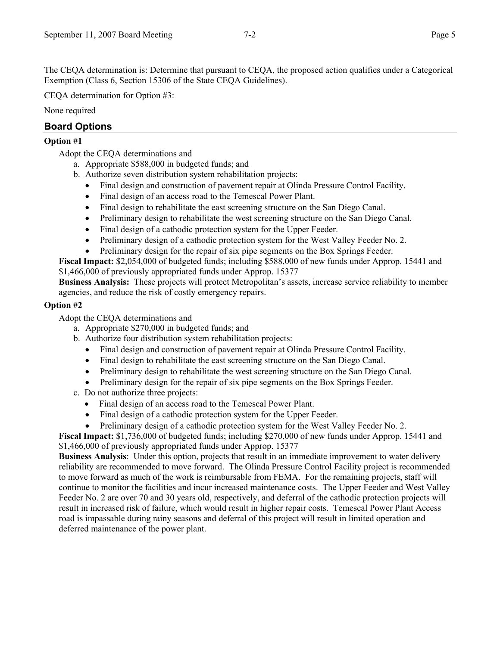The CEQA determination is: Determine that pursuant to CEQA, the proposed action qualifies under a Categorical Exemption (Class 6, Section 15306 of the State CEQA Guidelines).

CEQA determination for Option #3:

None required

# **Board Options**

## **Option #1**

Adopt the CEQA determinations and

- a. Appropriate \$588,000 in budgeted funds; and
- b. Authorize seven distribution system rehabilitation projects:
	- Final design and construction of pavement repair at Olinda Pressure Control Facility.
	- Final design of an access road to the Temescal Power Plant.
	- Final design to rehabilitate the east screening structure on the San Diego Canal.
	- Preliminary design to rehabilitate the west screening structure on the San Diego Canal.
	- Final design of a cathodic protection system for the Upper Feeder.
	- Preliminary design of a cathodic protection system for the West Valley Feeder No. 2.
	- Preliminary design for the repair of six pipe segments on the Box Springs Feeder.

**Fiscal Impact:** \$2,054,000 of budgeted funds; including \$588,000 of new funds under Approp. 15441 and \$1,466,000 of previously appropriated funds under Approp. 15377

**Business Analysis:** These projects will protect Metropolitan's assets, increase service reliability to member agencies, and reduce the risk of costly emergency repairs.

## **Option #2**

Adopt the CEQA determinations and

- a. Appropriate \$270,000 in budgeted funds; and
- b. Authorize four distribution system rehabilitation projects:
	- Final design and construction of pavement repair at Olinda Pressure Control Facility.
	- Final design to rehabilitate the east screening structure on the San Diego Canal.
	- Preliminary design to rehabilitate the west screening structure on the San Diego Canal.
	- Preliminary design for the repair of six pipe segments on the Box Springs Feeder.
- c. Do not authorize three projects:
	- Final design of an access road to the Temescal Power Plant.
	- Final design of a cathodic protection system for the Upper Feeder.
	- Preliminary design of a cathodic protection system for the West Valley Feeder No. 2.

**Fiscal Impact:** \$1,736,000 of budgeted funds; including \$270,000 of new funds under Approp. 15441 and \$1,466,000 of previously appropriated funds under Approp. 15377

**Business Analysis**:Under this option, projects that result in an immediate improvement to water delivery reliability are recommended to move forward. The Olinda Pressure Control Facility project is recommended to move forward as much of the work is reimbursable from FEMA. For the remaining projects, staff will continue to monitor the facilities and incur increased maintenance costs. The Upper Feeder and West Valley Feeder No. 2 are over 70 and 30 years old, respectively, and deferral of the cathodic protection projects will result in increased risk of failure, which would result in higher repair costs. Temescal Power Plant Access road is impassable during rainy seasons and deferral of this project will result in limited operation and deferred maintenance of the power plant.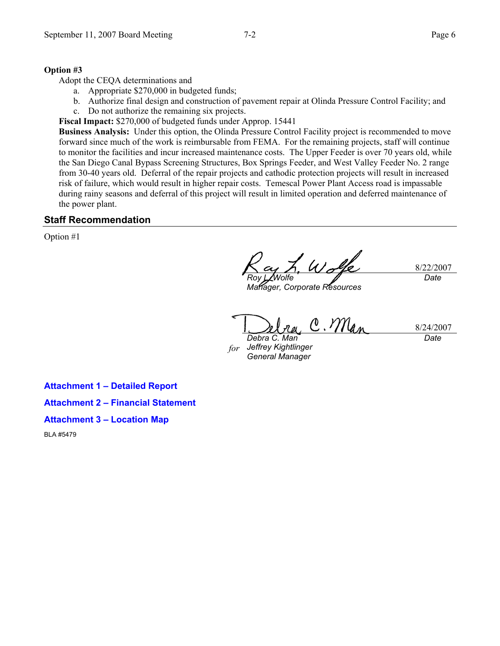#### **Option #3**

Adopt the CEQA determinations and

- a. Appropriate \$270,000 in budgeted funds;
- b. Authorize final design and construction of pavement repair at Olinda Pressure Control Facility; and c. Do not authorize the remaining six projects.

**Fiscal Impact:** \$270,000 of budgeted funds under Approp. 15441

**Business Analysis:** Under this option, the Olinda Pressure Control Facility project is recommended to move forward since much of the work is reimbursable from FEMA. For the remaining projects, staff will continue to monitor the facilities and incur increased maintenance costs. The Upper Feeder is over 70 years old, while the San Diego Canal Bypass Screening Structures, Box Springs Feeder, and West Valley Feeder No. 2 range from 30-40 years old. Deferral of the repair projects and cathodic protection projects will result in increased risk of failure, which would result in higher repair costs. Temescal Power Plant Access road is impassable during rainy seasons and deferral of this project will result in limited operation and deferred maintenance of the power plant.

## **Staff Recommendation**

Option #1

 $W$ d 8/22/2007 *Roy L. Wolfe Date* 

*Manager, Corporate Resources* 

C. Man 8/24/2007 *Date Debra C. Man* 

*for Jeffrey Kightlinger General Manager* 

**Attachment 1 – Detailed Report** 

**Attachment 2 – Financial Statement** 

**Attachment 3 – Location Map** 

BLA #5479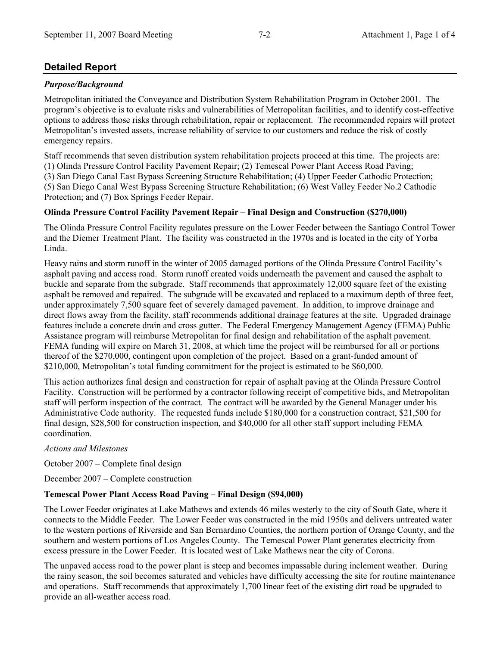# **Detailed Report**

## *Purpose/Background*

Metropolitan initiated the Conveyance and Distribution System Rehabilitation Program in October 2001. The program's objective is to evaluate risks and vulnerabilities of Metropolitan facilities, and to identify cost-effective options to address those risks through rehabilitation, repair or replacement. The recommended repairs will protect Metropolitan's invested assets, increase reliability of service to our customers and reduce the risk of costly emergency repairs.

Staff recommends that seven distribution system rehabilitation projects proceed at this time. The projects are: (1) Olinda Pressure Control Facility Pavement Repair; (2) Temescal Power Plant Access Road Paving; (3) San Diego Canal East Bypass Screening Structure Rehabilitation; (4) Upper Feeder Cathodic Protection; (5) San Diego Canal West Bypass Screening Structure Rehabilitation; (6) West Valley Feeder No.2 Cathodic Protection; and (7) Box Springs Feeder Repair.

## **Olinda Pressure Control Facility Pavement Repair – Final Design and Construction (\$270,000)**

The Olinda Pressure Control Facility regulates pressure on the Lower Feeder between the Santiago Control Tower and the Diemer Treatment Plant. The facility was constructed in the 1970s and is located in the city of Yorba Linda.

Heavy rains and storm runoff in the winter of 2005 damaged portions of the Olinda Pressure Control Facility's asphalt paving and access road. Storm runoff created voids underneath the pavement and caused the asphalt to buckle and separate from the subgrade. Staff recommends that approximately 12,000 square feet of the existing asphalt be removed and repaired. The subgrade will be excavated and replaced to a maximum depth of three feet, under approximately 7,500 square feet of severely damaged pavement. In addition, to improve drainage and direct flows away from the facility, staff recommends additional drainage features at the site. Upgraded drainage features include a concrete drain and cross gutter. The Federal Emergency Management Agency (FEMA) Public Assistance program will reimburse Metropolitan for final design and rehabilitation of the asphalt pavement. FEMA funding will expire on March 31, 2008, at which time the project will be reimbursed for all or portions thereof of the \$270,000, contingent upon completion of the project. Based on a grant-funded amount of \$210,000, Metropolitan's total funding commitment for the project is estimated to be \$60,000.

This action authorizes final design and construction for repair of asphalt paving at the Olinda Pressure Control Facility. Construction will be performed by a contractor following receipt of competitive bids, and Metropolitan staff will perform inspection of the contract. The contract will be awarded by the General Manager under his Administrative Code authority. The requested funds include \$180,000 for a construction contract, \$21,500 for final design, \$28,500 for construction inspection, and \$40,000 for all other staff support including FEMA coordination.

## *Actions and Milestones*

October 2007 – Complete final design

December 2007 – Complete construction

## **Temescal Power Plant Access Road Paving – Final Design (\$94,000)**

The Lower Feeder originates at Lake Mathews and extends 46 miles westerly to the city of South Gate, where it connects to the Middle Feeder. The Lower Feeder was constructed in the mid 1950s and delivers untreated water to the western portions of Riverside and San Bernardino Counties, the northern portion of Orange County, and the southern and western portions of Los Angeles County. The Temescal Power Plant generates electricity from excess pressure in the Lower Feeder. It is located west of Lake Mathews near the city of Corona.

The unpaved access road to the power plant is steep and becomes impassable during inclement weather. During the rainy season, the soil becomes saturated and vehicles have difficulty accessing the site for routine maintenance and operations. Staff recommends that approximately 1,700 linear feet of the existing dirt road be upgraded to provide an all-weather access road.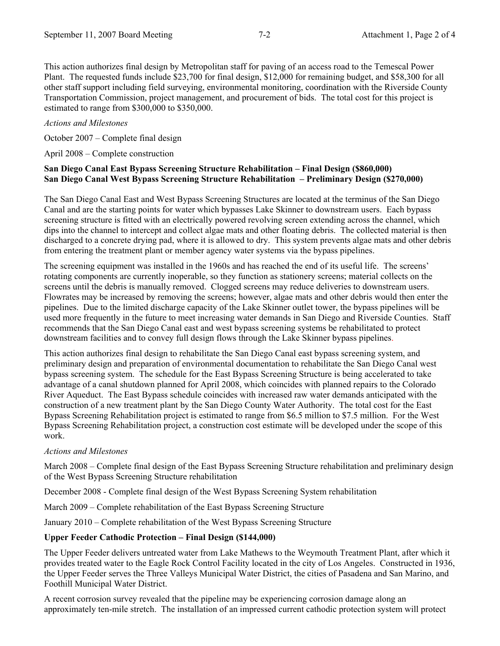This action authorizes final design by Metropolitan staff for paving of an access road to the Temescal Power Plant. The requested funds include \$23,700 for final design, \$12,000 for remaining budget, and \$58,300 for all other staff support including field surveying, environmental monitoring, coordination with the Riverside County Transportation Commission, project management, and procurement of bids. The total cost for this project is estimated to range from \$300,000 to \$350,000.

## *Actions and Milestones*

October 2007 – Complete final design

April 2008 – Complete construction

## **San Diego Canal East Bypass Screening Structure Rehabilitation – Final Design (\$860,000) San Diego Canal West Bypass Screening Structure Rehabilitation – Preliminary Design (\$270,000)**

The San Diego Canal East and West Bypass Screening Structures are located at the terminus of the San Diego Canal and are the starting points for water which bypasses Lake Skinner to downstream users. Each bypass screening structure is fitted with an electrically powered revolving screen extending across the channel, which dips into the channel to intercept and collect algae mats and other floating debris. The collected material is then discharged to a concrete drying pad, where it is allowed to dry. This system prevents algae mats and other debris from entering the treatment plant or member agency water systems via the bypass pipelines.

The screening equipment was installed in the 1960s and has reached the end of its useful life. The screens' rotating components are currently inoperable, so they function as stationery screens; material collects on the screens until the debris is manually removed. Clogged screens may reduce deliveries to downstream users. Flowrates may be increased by removing the screens; however, algae mats and other debris would then enter the pipelines. Due to the limited discharge capacity of the Lake Skinner outlet tower, the bypass pipelines will be used more frequently in the future to meet increasing water demands in San Diego and Riverside Counties. Staff recommends that the San Diego Canal east and west bypass screening systems be rehabilitated to protect downstream facilities and to convey full design flows through the Lake Skinner bypass pipelines.

This action authorizes final design to rehabilitate the San Diego Canal east bypass screening system, and preliminary design and preparation of environmental documentation to rehabilitate the San Diego Canal west bypass screening system. The schedule for the East Bypass Screening Structure is being accelerated to take advantage of a canal shutdown planned for April 2008, which coincides with planned repairs to the Colorado River Aqueduct. The East Bypass schedule coincides with increased raw water demands anticipated with the construction of a new treatment plant by the San Diego County Water Authority. The total cost for the East Bypass Screening Rehabilitation project is estimated to range from \$6.5 million to \$7.5 million. For the West Bypass Screening Rehabilitation project, a construction cost estimate will be developed under the scope of this work.

## *Actions and Milestones*

March 2008 – Complete final design of the East Bypass Screening Structure rehabilitation and preliminary design of the West Bypass Screening Structure rehabilitation

December 2008 - Complete final design of the West Bypass Screening System rehabilitation

March 2009 – Complete rehabilitation of the East Bypass Screening Structure

January 2010 – Complete rehabilitation of the West Bypass Screening Structure

## **Upper Feeder Cathodic Protection – Final Design (\$144,000)**

The Upper Feeder delivers untreated water from Lake Mathews to the Weymouth Treatment Plant, after which it provides treated water to the Eagle Rock Control Facility located in the city of Los Angeles. Constructed in 1936, the Upper Feeder serves the Three Valleys Municipal Water District, the cities of Pasadena and San Marino, and Foothill Municipal Water District.

A recent corrosion survey revealed that the pipeline may be experiencing corrosion damage along an approximately ten-mile stretch. The installation of an impressed current cathodic protection system will protect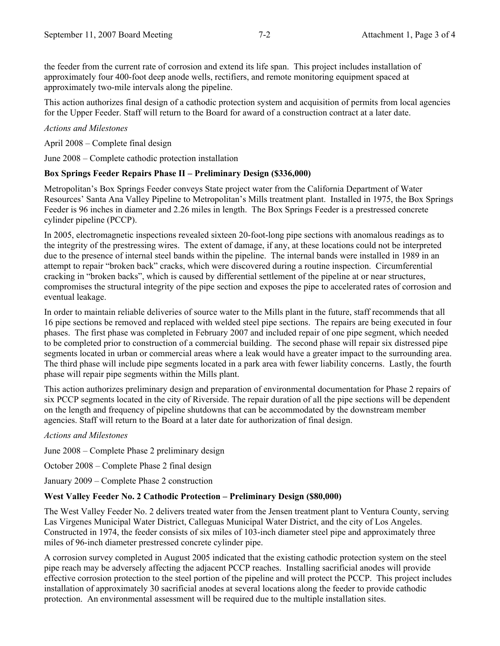the feeder from the current rate of corrosion and extend its life span. This project includes installation of approximately four 400-foot deep anode wells, rectifiers, and remote monitoring equipment spaced at approximately two-mile intervals along the pipeline.

This action authorizes final design of a cathodic protection system and acquisition of permits from local agencies for the Upper Feeder. Staff will return to the Board for award of a construction contract at a later date.

### *Actions and Milestones*

April 2008 – Complete final design

June 2008 – Complete cathodic protection installation

### **Box Springs Feeder Repairs Phase II – Preliminary Design (\$336,000)**

Metropolitan's Box Springs Feeder conveys State project water from the California Department of Water Resources' Santa Ana Valley Pipeline to Metropolitan's Mills treatment plant. Installed in 1975, the Box Springs Feeder is 96 inches in diameter and 2.26 miles in length. The Box Springs Feeder is a prestressed concrete cylinder pipeline (PCCP).

In 2005, electromagnetic inspections revealed sixteen 20-foot-long pipe sections with anomalous readings as to the integrity of the prestressing wires. The extent of damage, if any, at these locations could not be interpreted due to the presence of internal steel bands within the pipeline. The internal bands were installed in 1989 in an attempt to repair "broken back" cracks, which were discovered during a routine inspection. Circumferential cracking in "broken backs", which is caused by differential settlement of the pipeline at or near structures, compromises the structural integrity of the pipe section and exposes the pipe to accelerated rates of corrosion and eventual leakage.

In order to maintain reliable deliveries of source water to the Mills plant in the future, staff recommends that all 16 pipe sections be removed and replaced with welded steel pipe sections. The repairs are being executed in four phases. The first phase was completed in February 2007 and included repair of one pipe segment, which needed to be completed prior to construction of a commercial building. The second phase will repair six distressed pipe segments located in urban or commercial areas where a leak would have a greater impact to the surrounding area. The third phase will include pipe segments located in a park area with fewer liability concerns. Lastly, the fourth phase will repair pipe segments within the Mills plant.

This action authorizes preliminary design and preparation of environmental documentation for Phase 2 repairs of six PCCP segments located in the city of Riverside. The repair duration of all the pipe sections will be dependent on the length and frequency of pipeline shutdowns that can be accommodated by the downstream member agencies. Staff will return to the Board at a later date for authorization of final design.

### *Actions and Milestones*

June 2008 – Complete Phase 2 preliminary design

October 2008 – Complete Phase 2 final design

January 2009 – Complete Phase 2 construction

## **West Valley Feeder No. 2 Cathodic Protection – Preliminary Design (\$80,000)**

The West Valley Feeder No. 2 delivers treated water from the Jensen treatment plant to Ventura County, serving Las Virgenes Municipal Water District, Calleguas Municipal Water District, and the city of Los Angeles. Constructed in 1974, the feeder consists of six miles of 103-inch diameter steel pipe and approximately three miles of 96-inch diameter prestressed concrete cylinder pipe.

A corrosion survey completed in August 2005 indicated that the existing cathodic protection system on the steel pipe reach may be adversely affecting the adjacent PCCP reaches. Installing sacrificial anodes will provide effective corrosion protection to the steel portion of the pipeline and will protect the PCCP. This project includes installation of approximately 30 sacrificial anodes at several locations along the feeder to provide cathodic protection. An environmental assessment will be required due to the multiple installation sites.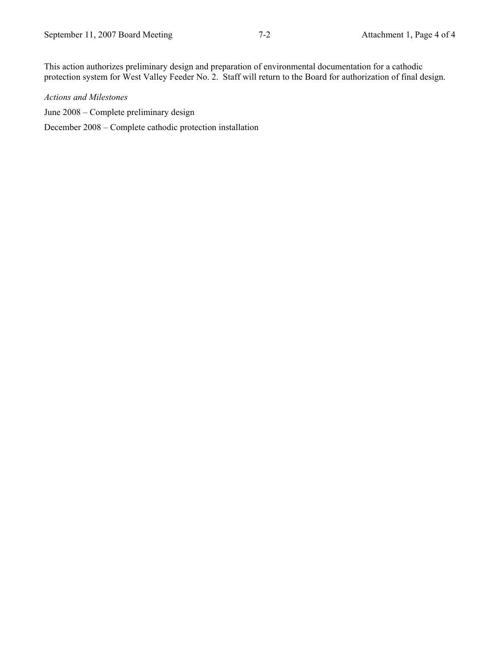This action authorizes preliminary design and preparation of environmental documentation for a cathodic protection system for West Valley Feeder No. 2. Staff will return to the Board for authorization of final design.

## *Actions and Milestones*

June 2008 – Complete preliminary design

December 2008 – Complete cathodic protection installation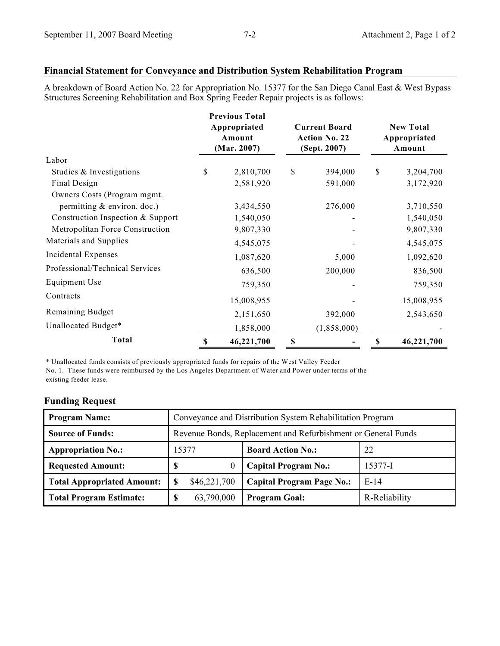# **Financial Statement for Conveyance and Distribution System Rehabilitation Program**

A breakdown of Board Action No. 22 for Appropriation No. 15377 for the San Diego Canal East & West Bypass Structures Screening Rehabilitation and Box Spring Feeder Repair projects is as follows:

|                                   |    | <b>Previous Total</b><br>Appropriated<br>Amount<br>(Mar. 2007) | <b>Current Board</b><br><b>Action No. 22</b><br>(Sept. 2007) |             | <b>New Total</b><br>Appropriated<br>Amount |            |
|-----------------------------------|----|----------------------------------------------------------------|--------------------------------------------------------------|-------------|--------------------------------------------|------------|
| Labor                             |    |                                                                |                                                              |             |                                            |            |
| Studies & Investigations          | S  | 2,810,700                                                      | \$                                                           | 394,000     | \$                                         | 3,204,700  |
| Final Design                      |    | 2,581,920                                                      |                                                              | 591,000     |                                            | 3,172,920  |
| Owners Costs (Program mgmt.       |    |                                                                |                                                              |             |                                            |            |
| permitting & environ. doc.)       |    | 3,434,550                                                      |                                                              | 276,000     |                                            | 3,710,550  |
| Construction Inspection & Support |    | 1,540,050                                                      |                                                              |             |                                            | 1,540,050  |
| Metropolitan Force Construction   |    | 9,807,330                                                      |                                                              |             |                                            | 9,807,330  |
| Materials and Supplies            |    | 4,545,075                                                      |                                                              |             |                                            | 4,545,075  |
| Incidental Expenses               |    | 1,087,620                                                      |                                                              | 5,000       |                                            | 1,092,620  |
| Professional/Technical Services   |    | 636,500                                                        |                                                              | 200,000     |                                            | 836,500    |
| Equipment Use                     |    | 759,350                                                        |                                                              |             |                                            | 759,350    |
| Contracts                         |    | 15,008,955                                                     |                                                              |             |                                            | 15,008,955 |
| Remaining Budget                  |    | 2,151,650                                                      |                                                              | 392,000     |                                            | 2,543,650  |
| Unallocated Budget*               |    | 1,858,000                                                      |                                                              | (1,858,000) |                                            |            |
| <b>Total</b>                      | \$ | 46,221,700                                                     | \$                                                           |             | \$                                         | 46,221,700 |

\* Unallocated funds consists of previously appropriated funds for repairs of the West Valley Feeder

No. 1. These funds were reimbursed by the Los Angeles Department of Water and Power under terms of the existing feeder lease.

# **Funding Request**

| <b>Program Name:</b>              | Conveyance and Distribution System Rehabilitation Program     |              |                                  |               |  |  |
|-----------------------------------|---------------------------------------------------------------|--------------|----------------------------------|---------------|--|--|
| <b>Source of Funds:</b>           | Revenue Bonds, Replacement and Refurbishment or General Funds |              |                                  |               |  |  |
| <b>Appropriation No.:</b>         |                                                               | 15377        | <b>Board Action No.:</b>         | 22            |  |  |
| <b>Requested Amount:</b>          | S                                                             | 0            | <b>Capital Program No.:</b>      | 15377-I       |  |  |
| <b>Total Appropriated Amount:</b> | S                                                             | \$46,221,700 | <b>Capital Program Page No.:</b> | $E-14$        |  |  |
| <b>Total Program Estimate:</b>    | S                                                             | 63,790,000   | <b>Program Goal:</b>             | R-Reliability |  |  |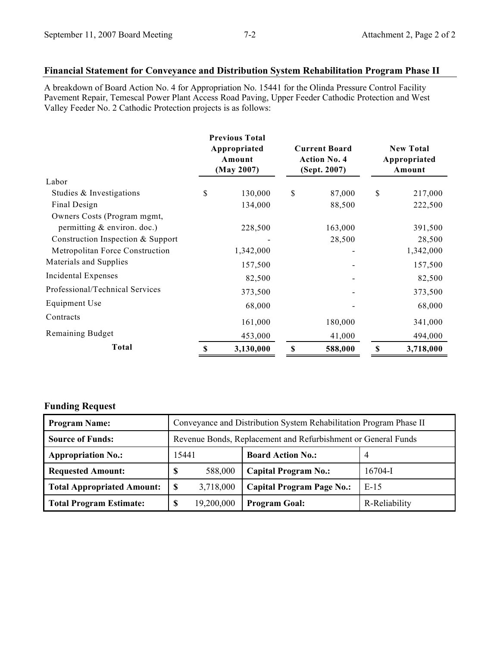# **Financial Statement for Conveyance and Distribution System Rehabilitation Program Phase II**

A breakdown of Board Action No. 4 for Appropriation No. 15441 for the Olinda Pressure Control Facility Pavement Repair, Temescal Power Plant Access Road Paving, Upper Feeder Cathodic Protection and West Valley Feeder No. 2 Cathodic Protection projects is as follows:

|                                   | <b>Previous Total</b><br>Appropriated<br>Amount<br>(May 2007) |           | <b>Current Board</b><br><b>Action No. 4</b><br>(Sept. 2007) |         | <b>New Total</b><br>Appropriated<br>Amount |           |
|-----------------------------------|---------------------------------------------------------------|-----------|-------------------------------------------------------------|---------|--------------------------------------------|-----------|
| Labor                             |                                                               |           |                                                             |         |                                            |           |
| Studies & Investigations          | \$                                                            | 130,000   | \$                                                          | 87,000  | \$                                         | 217,000   |
| Final Design                      |                                                               | 134,000   |                                                             | 88,500  |                                            | 222,500   |
| Owners Costs (Program mgmt,       |                                                               |           |                                                             |         |                                            |           |
| permitting $&$ environ. doc.)     |                                                               | 228,500   |                                                             | 163,000 |                                            | 391,500   |
| Construction Inspection & Support |                                                               |           |                                                             | 28,500  |                                            | 28,500    |
| Metropolitan Force Construction   |                                                               | 1,342,000 |                                                             |         |                                            | 1,342,000 |
| Materials and Supplies            |                                                               | 157,500   |                                                             |         |                                            | 157,500   |
| Incidental Expenses               |                                                               | 82,500    |                                                             |         |                                            | 82,500    |
| Professional/Technical Services   |                                                               | 373,500   |                                                             |         |                                            | 373,500   |
| Equipment Use                     |                                                               | 68,000    |                                                             |         |                                            | 68,000    |
| Contracts                         |                                                               | 161,000   |                                                             | 180,000 |                                            | 341,000   |
| Remaining Budget                  |                                                               | 453,000   |                                                             | 41,000  |                                            | 494,000   |
| Total                             | \$                                                            | 3,130,000 | \$<br>588,000                                               |         | \$                                         | 3,718,000 |

# **Funding Request**

| <b>Program Name:</b>              | Conveyance and Distribution System Rehabilitation Program Phase II |            |                                  |                |  |  |
|-----------------------------------|--------------------------------------------------------------------|------------|----------------------------------|----------------|--|--|
| <b>Source of Funds:</b>           | Revenue Bonds, Replacement and Refurbishment or General Funds      |            |                                  |                |  |  |
| <b>Appropriation No.:</b>         | 15441                                                              |            | <b>Board Action No.:</b>         | $\overline{4}$ |  |  |
| <b>Requested Amount:</b>          | -S                                                                 | 588,000    | <b>Capital Program No.:</b>      | $16704 - I$    |  |  |
| <b>Total Appropriated Amount:</b> | S                                                                  | 3,718,000  | <b>Capital Program Page No.:</b> | $E-15$         |  |  |
| <b>Total Program Estimate:</b>    | S                                                                  | 19,200,000 | <b>Program Goal:</b>             | R-Reliability  |  |  |